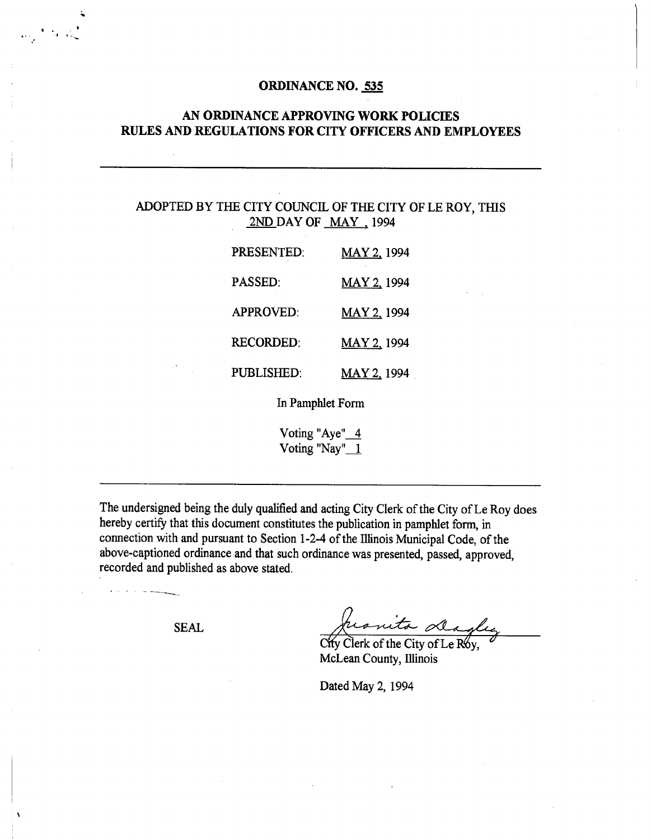#### **ORDINANCE NO. 535**

## **AN ORDINANCE APPROVING WORK POLICIES RULES AND REGULATIONS FOR CITY OFFICERS AND EMPLOYEES**

## ADOPTED BY THE CITY COUNCIL OF THE CITY OF LE ROY, THIS 2ND DAY OF MAY, 1994

| PRESENTED:        | MAY 2, 1994        |
|-------------------|--------------------|
| <b>PASSED:</b>    | MAY 2, 1994        |
| <b>APPROVED:</b>  | MAY 2, 1994        |
| <b>RECORDED:</b>  | <b>MAY 2, 1994</b> |
| <b>PUBLISHED:</b> | MAY 2, 1994        |

In Pamphlet Form

Voting "Aye" 4 Voting "Nay" $1$ 

The undersigned being the duly qualified and acting City Clerk of the City of Le Roy does hereby certify that this document constitutes the publication in pamphlet form, in connection with and pursuant to Section 1-2-4 of the Illinois Municipal Code, of the above-captioned ordinance and that such ordinance was presented, passed, approved, recorded and published as above stated.

SEAL Juanita dagler

Clerk of the City of Le R6y, McLean County, Illinois

Dated May 2, 1994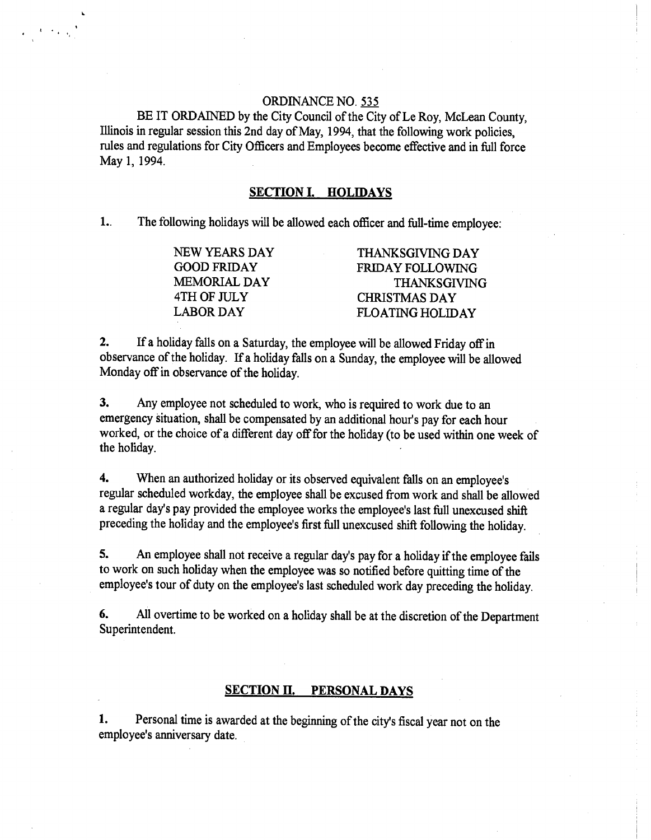## ORDINANCE NO. 535

**BE** IT ORDAINED by the City Council of the City of Le Roy, McLean County, Illinois in regular session this 2nd day of May, 1994, that the following work policies, rules and regulations for City Officers and Employees become effective and in full force May 1, 1994.

s

#### **SECTION I. HOLIDAYS**

L. The following holidays will be allowed each officer and full-time employee:

| NEW YEARS DAY       | <b>THANKSGIVING DAY</b> |
|---------------------|-------------------------|
| <b>GOOD FRIDAY</b>  | FRIDAY FOLLOWING        |
| <b>MEMORIAL DAY</b> | <b>THANKSGIVING</b>     |
| 4TH OF JULY         | <b>CHRISTMAS DAY</b>    |
| <b>LABOR DAY</b>    | <b>FLOATING HOLIDAY</b> |

2. If a holiday falls on a Saturday, the employee will be allowed Friday off in observance of the holiday. If a holiday falls on a Sunday, the employee will be allowed Monday off in observance of the holiday.

3. Any employee not scheduled to work, who is required to work due to an emergency situation, shall be compensated by an additional hour's pay for each hour worked, or the choice of a different day off for the holiday (to be used within one week of the holiday.

4. When an authorized holiday or its observed equivalent falls on an employee's regular scheduled workday, the employee shall be excused from work and shall be allowed a regular day's pay provided the employee works the employee's last full unexcused shift preceding the holiday and the employee's first full unexcused shift following the holiday.

5. An employee shall not receive a regular day's pay for a holiday if the employee fails to work on such holiday when the employee was so notified before quitting time of the employee's tour of duty on the employee's last scheduled work day preceding the holiday.

6. All overtime to be worked on a holiday shall be at the discretion of the Department Superintendent.

#### **SECTION H. PERSONAL DAYS**

**1.** Personal time is awarded at the beginning of the city's fiscal year not on the employee's anniversary date.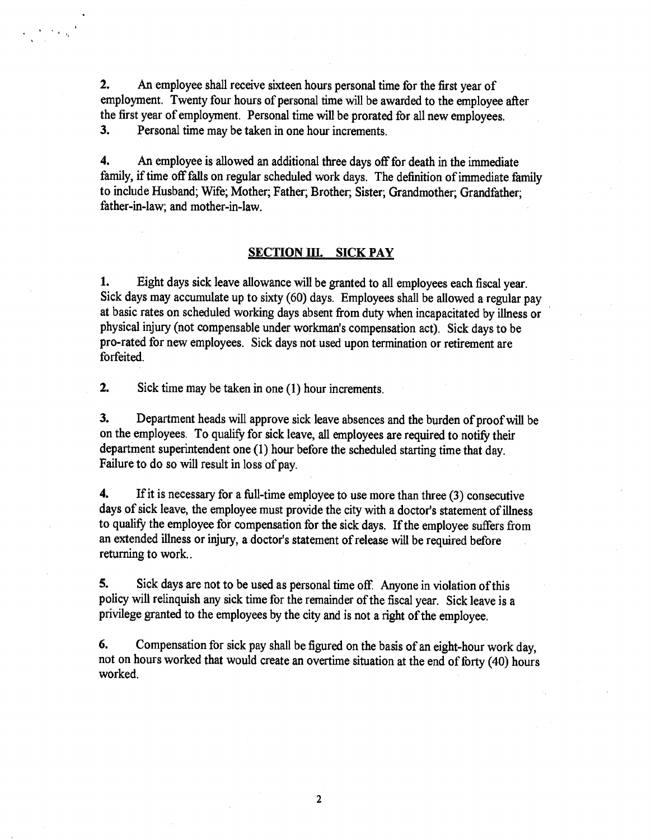2. An employee shall receive sixteen hours personal time for the first year of employment. Twenty four hours of personal time will be awarded to the employee after the first year of employment. Personal time will be prorated for all new employees. 3. Personal time may be taken in one hour increments.

4. An employee is allowed an additional three days off for death in the immediate family, if time off falls on regular scheduled work days. The definition of immediate family to include Husband; Wife; Mother, Father; Brother; Sister; Grandmother; Grandfather; father-in-law; and mother-in-law.

## **SECTION III. SICK PAY**

1. Eight days sick leave allowance will be granted to all employees each fiscal year. Sick days may accumulate up to sixty (60) days. Employees shall be allowed a regular pay at basic rates on scheduled working days absent from duty when incapacitated by illness or physical injury (not compensable under workman's compensation act). Sick days to be pro-rated for new employees. Sick days not used upon termination or retirement are forfeited.

2. Sick time may be taken in one (1) hour increments.

3. Department heads will approve sick leave absences and the burden of proof will be on the employees. To qualify for sick leave, all employees are required to notify their department superintendent one (1) hour before the scheduled starting time that day. Failure to do so will result in loss of pay.

4. If it is necessary for a full-time employee to use more than three (3) consecutive days of sick leave, the employee must provide the city with a doctor's statement of illness to qualify the employee for compensation for the sick days. If the employee suffers from an extended illness or injury, a doctor's statement of release will be required before returning to work..

5. Sick days are not to be used as personal time off. Anyone in violation of this policy will relinquish any sick time for the remainder of the fiscal year. Sick leave is a privilege granted to the employees by the city and is not a right of the employee.

6. Compensation for sick pay shall be figured on the basis of an eight-hour work day, not on hours worked that would create an overtime situation at the end of forty (40) hours worked.

 $\overline{2}$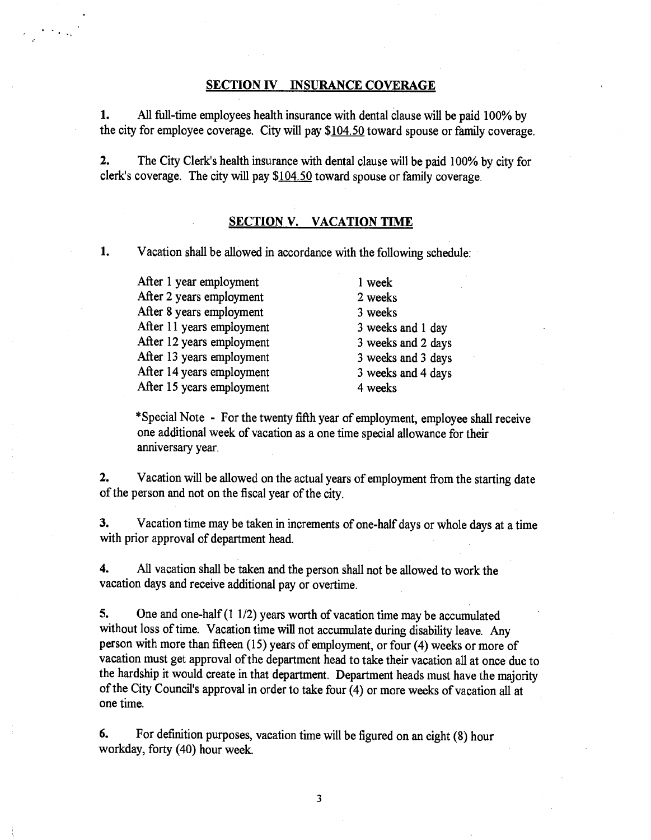#### **SECTION IV INSURANCE COVERAGE**

1. All full-time employees health insurance with dental clause will be paid 100% by the city for employee coverage. City will pay \$104.50 toward spouse or family coverage.

2. The City Clerk's health insurance with dental clause will be paid 100% by city for clerk's coverage. The city will pay \$104.50 toward spouse or family coverage.

#### **SECTION V. VACATION TIME**

**1.** Vacation shall be allowed in accordance with the following schedule:

After 1 year employment 1 week After 2 years employment 2 weeks After 8 years employment 3 weeks After 11 years employment 3 weeks and 1 day After 12 years employment 3 weeks and 2 days After 13 years employment 3 weeks and 3 days After 14 years employment 3 weeks and 4 days After 15 years employment 4 weeks

\*Special Note - For the twenty fifth year of employment, employee shall receive one additional week of vacation as a one time special allowance for their anniversary year.

2. Vacation will be allowed on the actual years of employment from the starting date of the person and not on the fiscal year of the city.

3. Vacation time may be taken in increments of one-half days or whole days at a time with prior approval of department head.

4. All vacation shall be taken and the person shall not be allowed to work the vacation days and receive additional pay or overtime.

5. One and one-half (1 1/2) years worth of vacation time may be accumulated without loss of time. Vacation time will not accumulate during disability leave. Any person with more than fifteen (15) years of employment, or four (4) weeks or more of vacation must get approval of the department head to take their vacation all at once due to the hardship it would create in that department. Department heads must have the majority of the City Council's approval in order to take four (4) or more weeks of vacation all at one time.

6. For definition purposes, vacation time will be figured on an eight (8) hour workday, forty (40) hour week.

3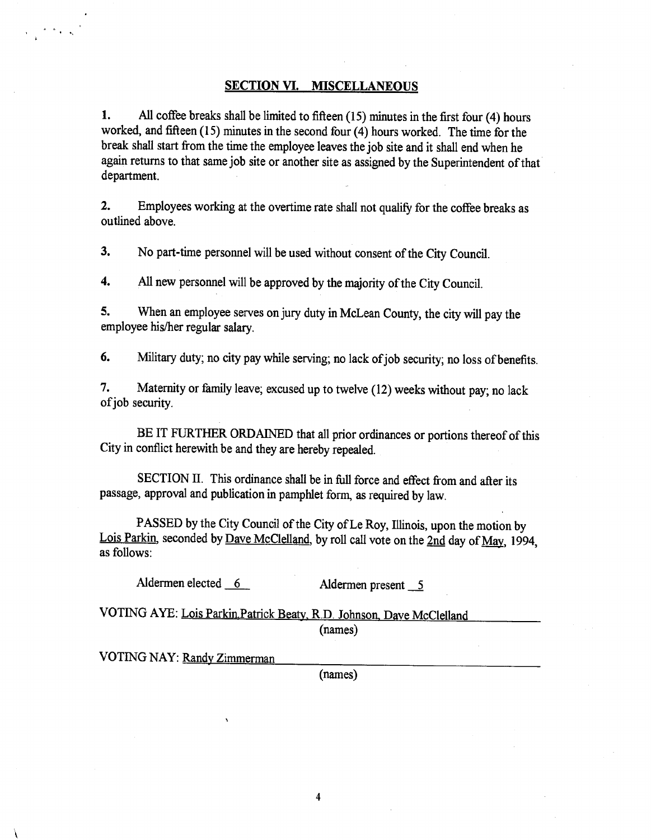#### **SECTION VI. MISCELLANEOUS**

1. All coffee breaks shall be limited to fifteen (15) minutes in the first four (4) hours worked, and fifteen (15) minutes in the second four (4) hours worked. The time for the break shall start from the time the employee leaves the job site and it shall end when he again returns to that same job site or another site as assigned by the Superintendent of that department.

2. Employees working at the overtime rate shall not qualify for the coffee breaks as outlined above.

3. No part-time personnel will be used without consent of the City Council.

4. All new personnel will be approved by the majority of the City Council.

5. When an employee serves on jury duty in McLean County, the city will pay the employee his/her regular salary.

6. Military duty; no city pay while serving; no lack of job security; no loss of benefits.

7. Maternity or family leave; excused up to twelve (12) weeks without pay; no lack of job security.

BE IT FURTHER ORDAINED that all prior ordinances or portions thereof of this City in conflict herewith be and they are hereby repealed.

SECTION II. This ordinance shall be in full force and effect from and after its passage, approval and publication in pamphlet form, as required by law.

PASSED by the City Council of the City of Le Roy, Illinois, upon the motion by Lois Parkin, seconded by Dave McClelland, by roll call vote on the 2nd day of May, 1994, as follows:

Aldermen elected 6 Aldermen present 5

VOTING AYE: Lois Parkin Patrick Beaty, R.D. Johnson, Dave McClelland (names)

VOTING NAY: Randv Zimmerman

 $\mathcal{L}^{\text{max}}$  , where  $\mathcal{L}^{\text{max}}$ 

(names)

 $\overline{\mathbf{4}}$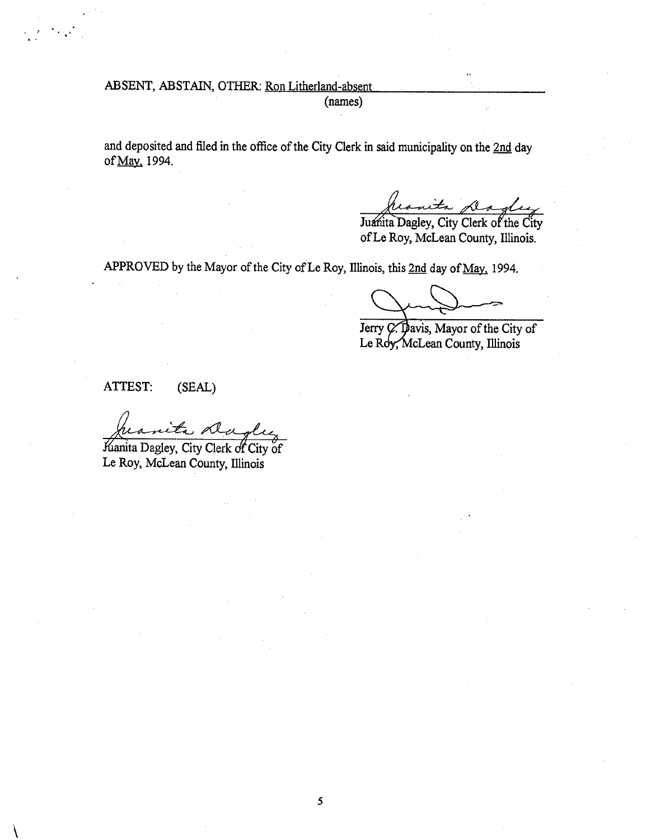ABSENT, ABSTAIN, OTHER: Ron Litherland-absent

(names)

and deposited and filed in the office of the City Clerk in said municipality on the 2nd day of May. 1994.

Juanita Dagley, City Clerk of the City

of Le Roy, McLean County, Illinois.

APPROVED by the Mayor of the City of Le Roy, Illinois, this 2nd day of May, 1994.

Jerry  $\cancel{C}$ . Davis, Mayor of the City of Le Roy, McLean County, Illinois

ATTEST: (SEAL)

1

Kianita Dagley, City Clerk of City of Le Roy, McLean County, Illinois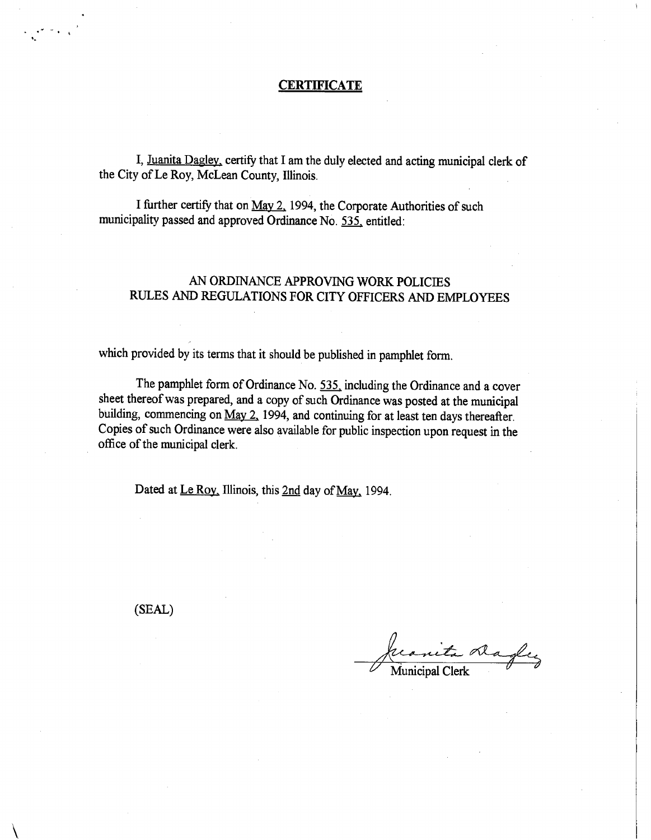#### **CERTIFICATE**

I, Juanita Dagley, certify that I am the duly elected and acting municipal clerk of the City of Le Roy, McLean County, Illinois.

I further certify that on May 2, 1994, the Corporate Authorities of such municipality passed and approved Ordinance No. 535. entitled:

## AN ORDINANCE APPROVING WORK POLICIES RULES AND REGULATIONS FOR CITY OFFICERS AND EMPLOYEES

which provided by its terms that it should be published in pamphlet form.

The pamphlet form of Ordinance No. 535, including the Ordinance and a cover sheet thereof was prepared, and a copy of such Ordinance was posted at the municipal building, commencing on May 2, 1994, and continuing for at least ten days thereafter. Copies of such Ordinance were also available for public inspection upon request in the office of the municipal clerk.

Dated at Le Roy, Illinois, this 2nd day of May, 1994.

(SEAL)

Ala Municipal Clerk